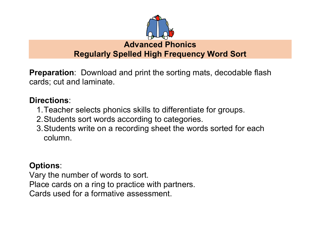

**Regularly Spelled High Frequency Word Sort**

**Preparation**: Download and print the sorting mats, decodable flash cards; cut and laminate.

## **Directions**:

- 1.Teacher selects phonics skills to differentiate for groups.
- 2.Students sort words according to categories.
- 3.Students write on a recording sheet the words sorted for each column.

### **Options**:

Vary the number of words to sort. Place cards on a ring to practice with partners. Cards used for a formative assessment.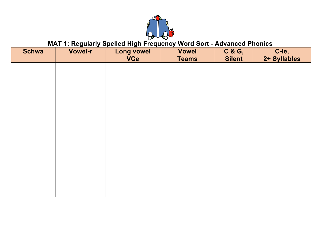

#### MAT 1: Regularly Spelled High Frequency Word Sort - Advanced Phonics

| <b>Schwa</b> | Vowel-r | <b>Long vowel</b><br><b>VCe</b> | <b>Vowel</b><br><b>Teams</b> | C & G,<br><b>Silent</b> | C-le,<br>2+ Syllables |
|--------------|---------|---------------------------------|------------------------------|-------------------------|-----------------------|
|              |         |                                 |                              |                         |                       |
|              |         |                                 |                              |                         |                       |
|              |         |                                 |                              |                         |                       |
|              |         |                                 |                              |                         |                       |
|              |         |                                 |                              |                         |                       |
|              |         |                                 |                              |                         |                       |
|              |         |                                 |                              |                         |                       |
|              |         |                                 |                              |                         |                       |
|              |         |                                 |                              |                         |                       |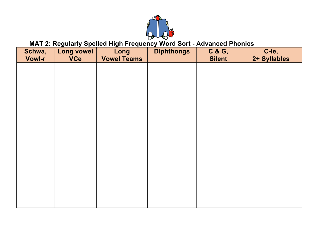

### **MAT 2: Regularly Spelled High Frequency Word Sort - Advanced Phonics**

| Schwa,        | <b>Long vowel</b> | Long               | <b>Diphthongs</b> | C & G,        | C-le,        |
|---------------|-------------------|--------------------|-------------------|---------------|--------------|
| <b>Vowl-r</b> | <b>VCe</b>        | <b>Vowel Teams</b> |                   | <b>Silent</b> | 2+ Syllables |
|               |                   |                    |                   |               |              |
|               |                   |                    |                   |               |              |
|               |                   |                    |                   |               |              |
|               |                   |                    |                   |               |              |
|               |                   |                    |                   |               |              |
|               |                   |                    |                   |               |              |
|               |                   |                    |                   |               |              |
|               |                   |                    |                   |               |              |
|               |                   |                    |                   |               |              |
|               |                   |                    |                   |               |              |
|               |                   |                    |                   |               |              |
|               |                   |                    |                   |               |              |
|               |                   |                    |                   |               |              |
|               |                   |                    |                   |               |              |
|               |                   |                    |                   |               |              |
|               |                   |                    |                   |               |              |
|               |                   |                    |                   |               |              |
|               |                   |                    |                   |               |              |
|               |                   |                    |                   |               |              |
|               |                   |                    |                   |               |              |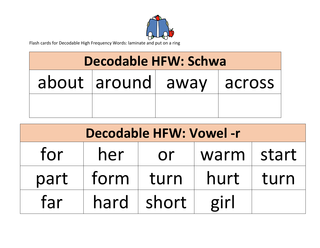

Flash cards for Decodable High Frequency Words: laminate and put on a ring

# Decodable **HFW: Schwa**

| about around away | across <sup>1</sup> |
|-------------------|---------------------|
|                   |                     |

| <b>Decodable HFW: Vowel -r</b>    |        |       |      |      |  |
|-----------------------------------|--------|-------|------|------|--|
| for<br>start<br>her<br>warm<br>or |        |       |      |      |  |
| part                              | form   | turn  | hurt | turn |  |
| far                               | hard l | short | girl |      |  |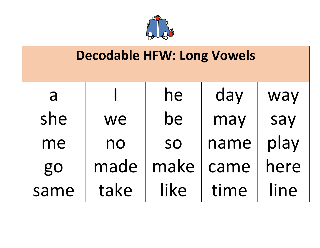

# **Decodable HFW: Long Vowels**

| a    |      | he        | day  | way  |
|------|------|-----------|------|------|
| she  | we   | be        | may  | say  |
| me   | no   | <b>SO</b> | name | play |
| go   | made | make      | came | here |
| same | take | like      | time | line |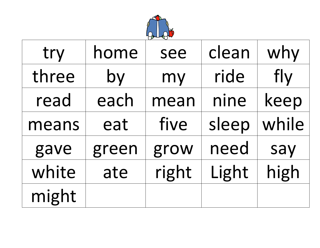

| try   | home  | see   | clean | why   |
|-------|-------|-------|-------|-------|
| three | by    | my    | ride  | fly   |
| read  | each  | mean  | nine  | keep  |
| means | eat   | five  | sleep | while |
| gave  | green | grow  | need  | say   |
| white | ate   | right | Light | high  |
| might |       |       |       |       |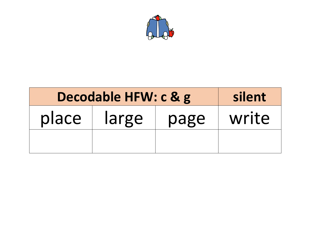

| Decodable HFW: c & g   | silent |  |       |
|------------------------|--------|--|-------|
| place<br>large<br>page |        |  | write |
|                        |        |  |       |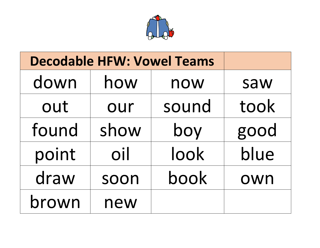

| <b>Decodable HFW: Vowel Teams</b> |      |       |      |
|-----------------------------------|------|-------|------|
| down                              | how  | now   | saw  |
| out                               | our  | sound | took |
| found                             | show | boy   | good |
| point                             | oil  | look  | blue |
| draw                              | soon | book  | own  |
| brown                             | new  |       |      |